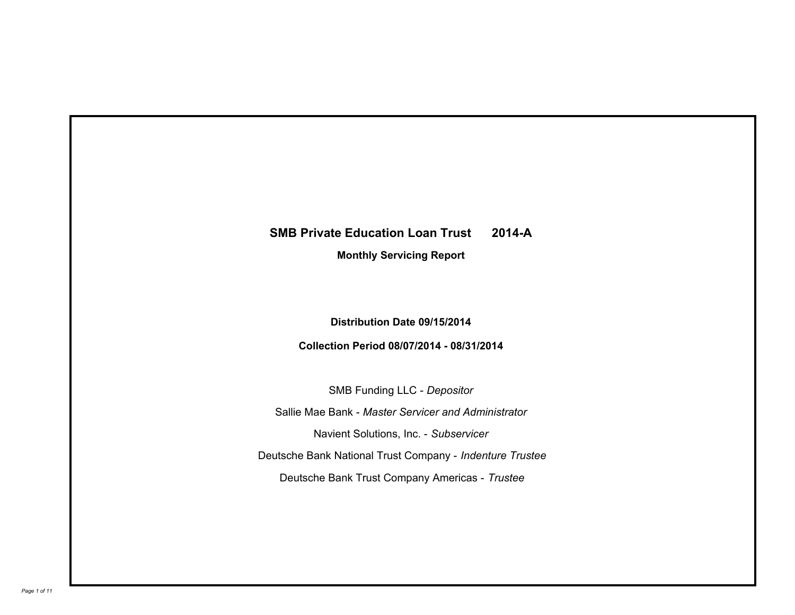# **SMB Private Education Loan Trust 2014-A**

**Monthly Servicing Report**

**Distribution Date 09/15/2014**

**Collection Period 08/07/2014 - 08/31/2014**

SMB Funding LLC - *Depositor* Sallie Mae Bank - *Master Servicer and Administrator* Deutsche Bank National Trust Company - *Indenture Trustee* Deutsche Bank Trust Company Americas - *Trustee* Navient Solutions, Inc. - *Subservicer*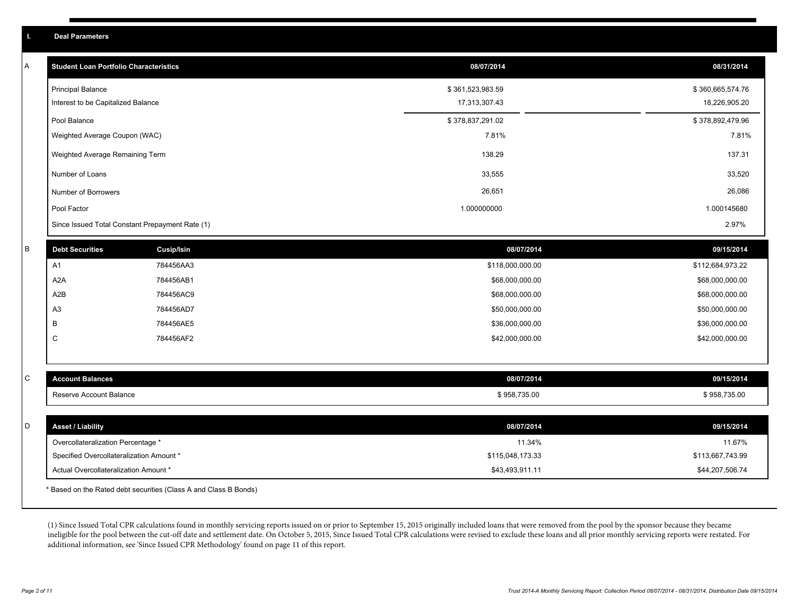|                                    | <b>Student Loan Portfolio Characteristics</b>   | 08/07/2014       | 08/31/2014       |
|------------------------------------|-------------------------------------------------|------------------|------------------|
| <b>Principal Balance</b>           |                                                 | \$361,523,983.59 | \$360,665,574.76 |
| Interest to be Capitalized Balance |                                                 | 17,313,307.43    | 18,226,905.20    |
| Pool Balance                       |                                                 | \$378,837,291.02 | \$378,892,479.96 |
|                                    | Weighted Average Coupon (WAC)                   | 7.81%            | 7.81%            |
|                                    | Weighted Average Remaining Term                 | 138.29           | 137.31           |
| Number of Loans                    |                                                 | 33,555           | 33,520           |
| Number of Borrowers                |                                                 | 26,651           | 26,086           |
| Pool Factor                        |                                                 | 1.000000000      | 1.000145680      |
|                                    | Since Issued Total Constant Prepayment Rate (1) |                  | 2.97%            |
| <b>Debt Securities</b>             | <b>Cusip/Isin</b>                               | 08/07/2014       | 09/15/2014       |
| A <sub>1</sub>                     | 784456AA3                                       | \$118,000,000.00 | \$112,684,973.22 |
| A <sub>2</sub> A                   | 784456AB1                                       | \$68,000,000.00  | \$68,000,000.00  |
| A2B                                | 784456AC9                                       | \$68,000,000.00  | \$68,000,000.00  |
| A <sub>3</sub>                     | 784456AD7                                       | \$50,000,000.00  | \$50,000,000.00  |
| B                                  | 784456AE5                                       | \$36,000,000.00  | \$36,000,000.00  |
| C                                  | 784456AF2                                       | \$42,000,000.00  | \$42,000,000.00  |
|                                    |                                                 |                  |                  |
| <b>Account Balances</b>            |                                                 | 08/07/2014       | 09/15/2014       |
| Reserve Account Balance            |                                                 | \$958,735.00     | \$958,735.00     |
| <b>Asset / Liability</b>           |                                                 | 08/07/2014       | 09/15/2014       |
| Overcollateralization Percentage * |                                                 | 11.34%           | 11.67%           |
|                                    | Specified Overcollateralization Amount *        | \$115,048,173.33 | \$113,667,743.99 |
|                                    | Actual Overcollateralization Amount *           | \$43,493,911.11  | \$44,207,506.74  |

(1) Since Issued Total CPR calculations found in monthly servicing reports issued on or prior to September 15, 2015 originally included loans that were removed from the pool by the sponsor because they became ineligible for the pool between the cut-off date and settlement date. On October 5, 2015, Since Issued Total CPR calculations were revised to exclude these loans and all prior monthly servicing reports were restated. For additional information, see 'Since Issued CPR Methodology' found on page 11 of this report.

**I. Deal Parameters**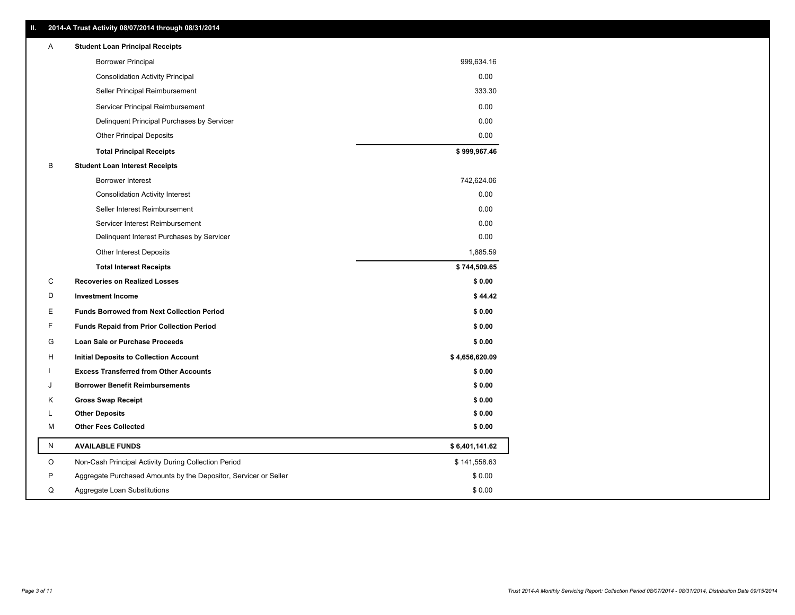| Ш. | 2014-A Trust Activity 08/07/2014 through 08/31/2014              |                |
|----|------------------------------------------------------------------|----------------|
| A  | <b>Student Loan Principal Receipts</b>                           |                |
|    | <b>Borrower Principal</b>                                        | 999,634.16     |
|    | <b>Consolidation Activity Principal</b>                          | 0.00           |
|    | Seller Principal Reimbursement                                   | 333.30         |
|    | Servicer Principal Reimbursement                                 | 0.00           |
|    | Delinquent Principal Purchases by Servicer                       | 0.00           |
|    | <b>Other Principal Deposits</b>                                  | 0.00           |
|    | <b>Total Principal Receipts</b>                                  | \$999,967.46   |
| В  | <b>Student Loan Interest Receipts</b>                            |                |
|    | Borrower Interest                                                | 742,624.06     |
|    | <b>Consolidation Activity Interest</b>                           | 0.00           |
|    | Seller Interest Reimbursement                                    | 0.00           |
|    | Servicer Interest Reimbursement                                  | 0.00           |
|    | Delinquent Interest Purchases by Servicer                        | 0.00           |
|    | <b>Other Interest Deposits</b>                                   | 1,885.59       |
|    | <b>Total Interest Receipts</b>                                   | \$744,509.65   |
| С  | <b>Recoveries on Realized Losses</b>                             | \$0.00         |
| D  | <b>Investment Income</b>                                         | \$44.42        |
| Е  | <b>Funds Borrowed from Next Collection Period</b>                | \$0.00         |
| F  | <b>Funds Repaid from Prior Collection Period</b>                 | \$0.00         |
| G  | Loan Sale or Purchase Proceeds                                   | \$0.00         |
| н  | <b>Initial Deposits to Collection Account</b>                    | \$4,656,620.09 |
| ı  | <b>Excess Transferred from Other Accounts</b>                    | \$0.00         |
| J  | <b>Borrower Benefit Reimbursements</b>                           | \$0.00         |
| Κ  | <b>Gross Swap Receipt</b>                                        | \$0.00         |
| L  | <b>Other Deposits</b>                                            | \$0.00         |
| М  | <b>Other Fees Collected</b>                                      | \$0.00         |
| N  | <b>AVAILABLE FUNDS</b>                                           | \$6,401,141.62 |
| O  | Non-Cash Principal Activity During Collection Period             | \$141,558.63   |
| P  | Aggregate Purchased Amounts by the Depositor, Servicer or Seller | \$0.00         |
| Q  | Aggregate Loan Substitutions                                     | \$0.00         |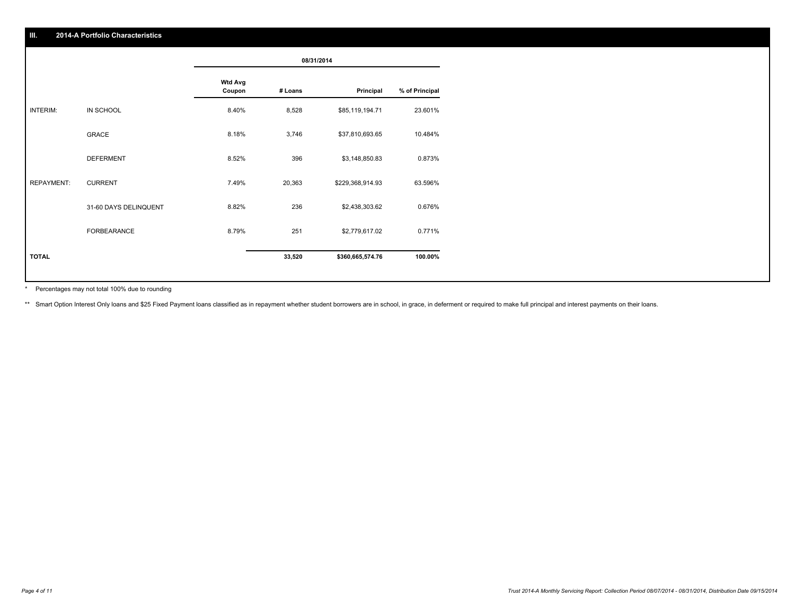|              |                       |                          | 08/31/2014 |                  |                |
|--------------|-----------------------|--------------------------|------------|------------------|----------------|
|              |                       | <b>Wtd Avg</b><br>Coupon | # Loans    | Principal        | % of Principal |
| INTERIM:     | IN SCHOOL             | 8.40%                    | 8,528      | \$85,119,194.71  | 23.601%        |
|              | GRACE                 | 8.18%                    | 3,746      | \$37,810,693.65  | 10.484%        |
|              | DEFERMENT             | 8.52%                    | 396        | \$3,148,850.83   | 0.873%         |
| REPAYMENT:   | <b>CURRENT</b>        | 7.49%                    | 20,363     | \$229,368,914.93 | 63.596%        |
|              | 31-60 DAYS DELINQUENT | 8.82%                    | 236        | \$2,438,303.62   | 0.676%         |
|              | FORBEARANCE           | 8.79%                    | 251        | \$2,779,617.02   | 0.771%         |
| <b>TOTAL</b> |                       |                          | 33,520     | \$360,665,574.76 | 100.00%        |
|              |                       |                          |            |                  |                |

Percentages may not total 100% due to rounding \*

\*\* Smart Option Interest Only loans and \$25 Fixed Payment loans classified as in repayment whether student borrowers are in school, in grace, in deferment or required to make full principal and interest payments on their l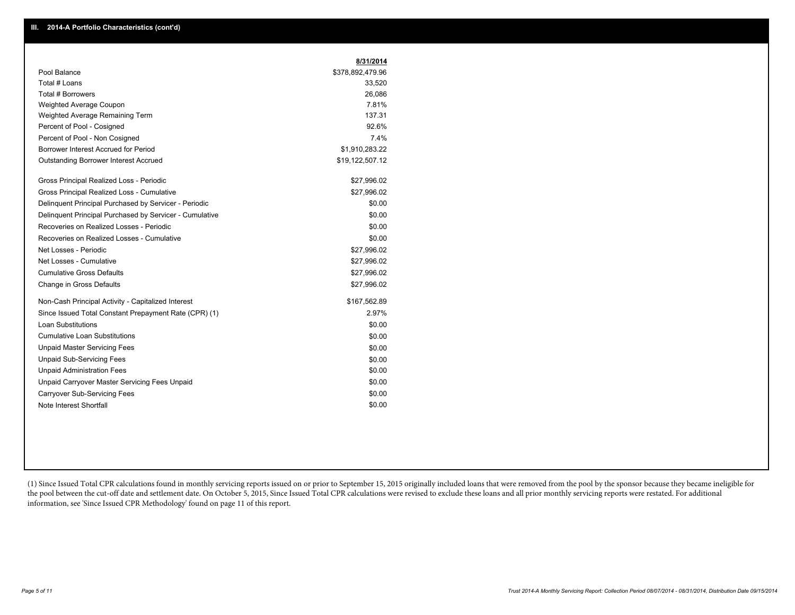|                                                         | 8/31/2014        |
|---------------------------------------------------------|------------------|
| Pool Balance                                            | \$378,892,479.96 |
| Total # Loans                                           | 33,520           |
| Total # Borrowers                                       | 26,086           |
| Weighted Average Coupon                                 | 7.81%            |
| Weighted Average Remaining Term                         | 137.31           |
| Percent of Pool - Cosigned                              | 92.6%            |
| Percent of Pool - Non Cosigned                          | 7.4%             |
| Borrower Interest Accrued for Period                    | \$1,910,283.22   |
| <b>Outstanding Borrower Interest Accrued</b>            | \$19,122,507.12  |
| Gross Principal Realized Loss - Periodic                | \$27,996.02      |
| Gross Principal Realized Loss - Cumulative              | \$27,996.02      |
| Delinguent Principal Purchased by Servicer - Periodic   | \$0.00           |
| Delinquent Principal Purchased by Servicer - Cumulative | \$0.00           |
| Recoveries on Realized Losses - Periodic                | \$0.00           |
| Recoveries on Realized Losses - Cumulative              | \$0.00           |
| Net Losses - Periodic                                   | \$27,996.02      |
| Net Losses - Cumulative                                 | \$27,996.02      |
| <b>Cumulative Gross Defaults</b>                        | \$27,996.02      |
| Change in Gross Defaults                                | \$27,996.02      |
| Non-Cash Principal Activity - Capitalized Interest      | \$167,562.89     |
| Since Issued Total Constant Prepayment Rate (CPR) (1)   | 2.97%            |
| <b>Loan Substitutions</b>                               | \$0.00           |
| <b>Cumulative Loan Substitutions</b>                    | \$0.00           |
| <b>Unpaid Master Servicing Fees</b>                     | \$0.00           |
| <b>Unpaid Sub-Servicing Fees</b>                        | \$0.00           |
| <b>Unpaid Administration Fees</b>                       | \$0.00           |
| Unpaid Carryover Master Servicing Fees Unpaid           | \$0.00           |
| Carryover Sub-Servicing Fees                            | \$0.00           |
| Note Interest Shortfall                                 | \$0.00           |

(1) Since Issued Total CPR calculations found in monthly servicing reports issued on or prior to September 15, 2015 originally included loans that were removed from the pool by the sponsor because they became ineligible for the pool between the cut-off date and settlement date. On October 5, 2015, Since Issued Total CPR calculations were revised to exclude these loans and all prior monthly servicing reports were restated. For additional information, see 'Since Issued CPR Methodology' found on page 11 of this report.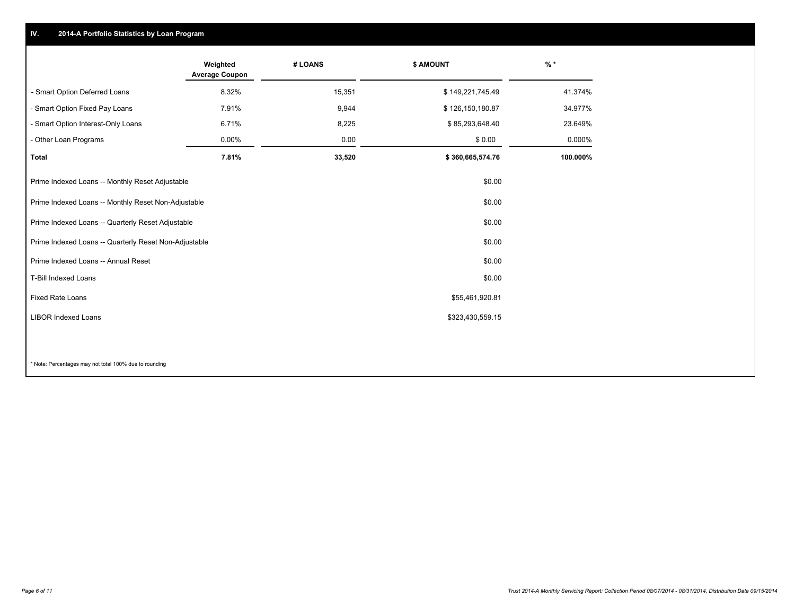### **IV. 2014-A Portfolio Statistics by Loan Program**

|                                                       | Weighted<br><b>Average Coupon</b> | # LOANS | <b>\$ AMOUNT</b> | $\frac{9}{6}$ * |
|-------------------------------------------------------|-----------------------------------|---------|------------------|-----------------|
| - Smart Option Deferred Loans                         | 8.32%                             | 15,351  | \$149,221,745.49 | 41.374%         |
| - Smart Option Fixed Pay Loans                        | 7.91%                             | 9,944   | \$126,150,180.87 | 34.977%         |
| - Smart Option Interest-Only Loans                    | 6.71%                             | 8,225   | \$85,293,648.40  | 23.649%         |
| - Other Loan Programs                                 | $0.00\%$                          | 0.00    | \$0.00           | 0.000%          |
| <b>Total</b>                                          | 7.81%                             | 33,520  | \$360,665,574.76 | 100.000%        |
| Prime Indexed Loans -- Monthly Reset Adjustable       |                                   |         | \$0.00           |                 |
| Prime Indexed Loans -- Monthly Reset Non-Adjustable   |                                   |         | \$0.00           |                 |
| Prime Indexed Loans -- Quarterly Reset Adjustable     |                                   |         | \$0.00           |                 |
| Prime Indexed Loans -- Quarterly Reset Non-Adjustable |                                   |         | \$0.00           |                 |
| Prime Indexed Loans -- Annual Reset                   |                                   |         | \$0.00           |                 |
| <b>T-Bill Indexed Loans</b>                           |                                   |         | \$0.00           |                 |
| <b>Fixed Rate Loans</b>                               |                                   |         | \$55,461,920.81  |                 |
| <b>LIBOR Indexed Loans</b>                            |                                   |         | \$323,430,559.15 |                 |
|                                                       |                                   |         |                  |                 |

\* Note: Percentages may not total 100% due to rounding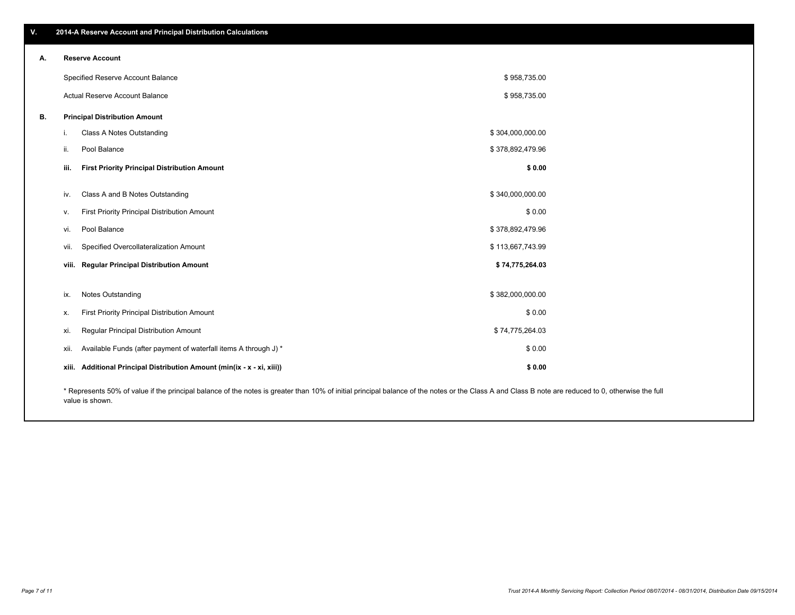| $\blacktriangle$ 2014-A Reserve Account and Principal Distribution Calculations $\blacktriangle$ |
|--------------------------------------------------------------------------------------------------|
|                                                                                                  |

| Α. |       | <b>Reserve Account</b>                                                                                                                                                                             |                  |  |
|----|-------|----------------------------------------------------------------------------------------------------------------------------------------------------------------------------------------------------|------------------|--|
|    |       | Specified Reserve Account Balance                                                                                                                                                                  | \$958,735.00     |  |
|    |       | Actual Reserve Account Balance                                                                                                                                                                     | \$958,735.00     |  |
| В. |       | <b>Principal Distribution Amount</b>                                                                                                                                                               |                  |  |
|    | i.    | Class A Notes Outstanding                                                                                                                                                                          | \$304,000,000.00 |  |
|    | ii.   | Pool Balance                                                                                                                                                                                       | \$378,892,479.96 |  |
|    | iii.  | <b>First Priority Principal Distribution Amount</b>                                                                                                                                                | \$0.00           |  |
|    |       |                                                                                                                                                                                                    |                  |  |
|    | IV.   | Class A and B Notes Outstanding                                                                                                                                                                    | \$340,000,000.00 |  |
|    | v.    | First Priority Principal Distribution Amount                                                                                                                                                       | \$0.00           |  |
|    | vi.   | Pool Balance                                                                                                                                                                                       | \$378,892,479.96 |  |
|    | vii.  | Specified Overcollateralization Amount                                                                                                                                                             | \$113,667,743.99 |  |
|    |       | viii. Regular Principal Distribution Amount                                                                                                                                                        | \$74,775,264.03  |  |
|    |       |                                                                                                                                                                                                    |                  |  |
|    | ix.   | <b>Notes Outstanding</b>                                                                                                                                                                           | \$382,000,000.00 |  |
|    | х.    | First Priority Principal Distribution Amount                                                                                                                                                       | \$0.00           |  |
|    | XI.   | Regular Principal Distribution Amount                                                                                                                                                              | \$74,775,264.03  |  |
|    | xii.  | Available Funds (after payment of waterfall items A through J) *                                                                                                                                   | \$0.00           |  |
|    | xiii. | Additional Principal Distribution Amount (min(ix - x - xi, xiii))                                                                                                                                  | \$0.00           |  |
|    |       | * Represents 50% of value if the principal belance of the notes is creater than 10% of initial principal belance of the notes or the Class A and Class B note are reduced to 0, othenwise the full |                  |  |

\* Represents 50% of value if the principal balance of the notes is greater than 10% of initial principal balance of the notes or the Class A and Class B note are reduced to 0, otherwise the full value is shown.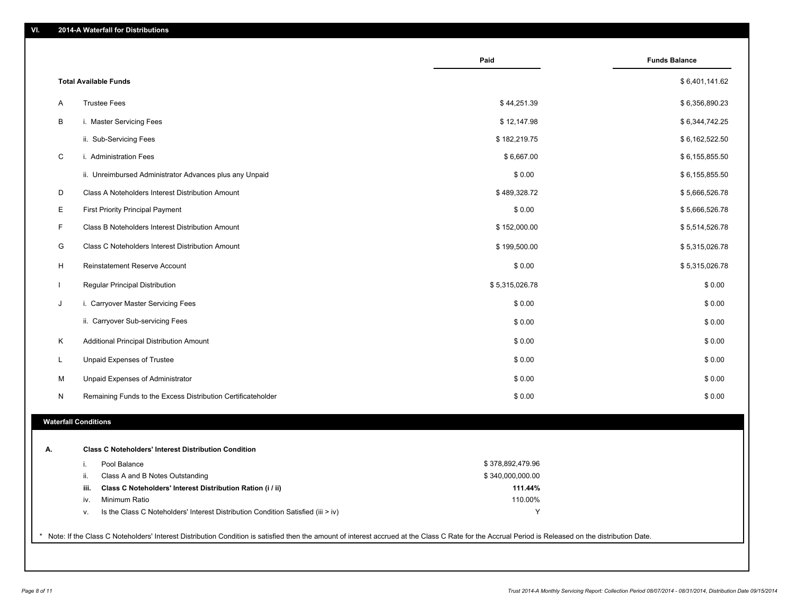|    |                                                                                        | Paid             | <b>Funds Balance</b> |
|----|----------------------------------------------------------------------------------------|------------------|----------------------|
|    | <b>Total Available Funds</b>                                                           |                  | \$6,401,141.62       |
| Α  | <b>Trustee Fees</b>                                                                    | \$44,251.39      | \$6,356,890.23       |
| В  | i. Master Servicing Fees                                                               | \$12,147.98      | \$6,344,742.25       |
|    | ii. Sub-Servicing Fees                                                                 | \$182,219.75     | \$6,162,522.50       |
| С  | i. Administration Fees                                                                 | \$6,667.00       | \$6,155,855.50       |
|    | ii. Unreimbursed Administrator Advances plus any Unpaid                                | \$0.00           | \$6,155,855.50       |
| D  | Class A Noteholders Interest Distribution Amount                                       | \$489,328.72     | \$5,666,526.78       |
| Ε  | <b>First Priority Principal Payment</b>                                                | \$0.00           | \$5,666,526.78       |
| F  | Class B Noteholders Interest Distribution Amount                                       | \$152,000.00     | \$5,514,526.78       |
| G  | Class C Noteholders Interest Distribution Amount                                       | \$199,500.00     | \$5,315,026.78       |
| H  | Reinstatement Reserve Account                                                          | \$0.00           | \$5,315,026.78       |
|    | Regular Principal Distribution                                                         | \$5,315,026.78   | \$0.00               |
| J  | i. Carryover Master Servicing Fees                                                     | \$0.00           | \$0.00               |
|    | ii. Carryover Sub-servicing Fees                                                       | \$0.00           | \$0.00               |
| Κ  | Additional Principal Distribution Amount                                               | \$0.00           | \$0.00               |
| L  | Unpaid Expenses of Trustee                                                             | \$0.00           | \$0.00               |
| М  | Unpaid Expenses of Administrator                                                       | \$0.00           | \$0.00               |
| N  | Remaining Funds to the Excess Distribution Certificateholder                           | \$0.00           | \$0.00               |
|    | <b>Waterfall Conditions</b>                                                            |                  |                      |
|    |                                                                                        |                  |                      |
| А. | <b>Class C Noteholders' Interest Distribution Condition</b>                            |                  |                      |
|    | Pool Balance<br>i.                                                                     | \$378,892,479.96 |                      |
|    | Class A and B Notes Outstanding<br>ii.                                                 | \$340,000,000.00 |                      |
|    | Class C Noteholders' Interest Distribution Ration (i / ii)<br>iii.                     | 111.44%          |                      |
|    | Minimum Ratio<br>iv.                                                                   | 110.00%          |                      |
|    | Is the Class C Noteholders' Interest Distribution Condition Satisfied (iii > iv)<br>v. | Y                |                      |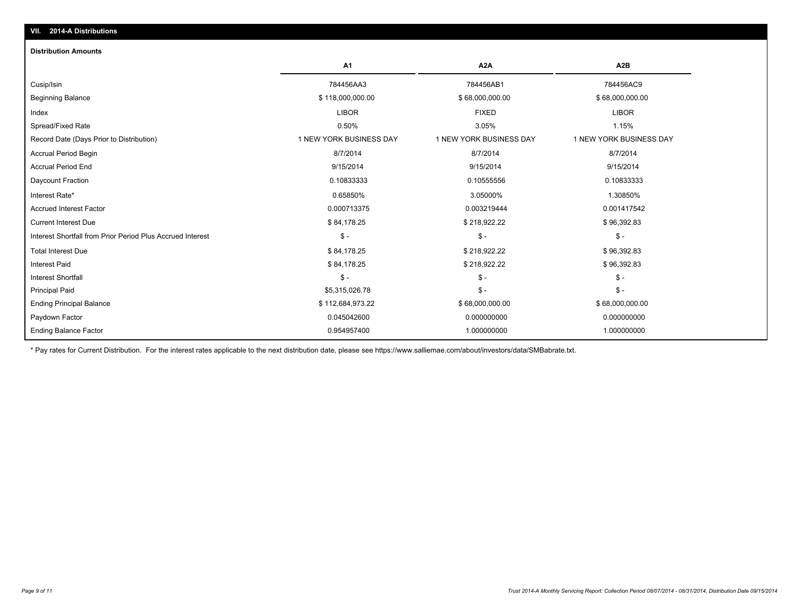#### **Distribution Amounts**

|                                                            | A <sub>1</sub>          | A <sub>2</sub> A        | A <sub>2</sub> B        |
|------------------------------------------------------------|-------------------------|-------------------------|-------------------------|
| Cusip/Isin                                                 | 784456AA3               | 784456AB1               | 784456AC9               |
| <b>Beginning Balance</b>                                   | \$118,000,000.00        | \$68,000,000.00         | \$68,000,000.00         |
| Index                                                      | <b>LIBOR</b>            | <b>FIXED</b>            | <b>LIBOR</b>            |
| Spread/Fixed Rate                                          | 0.50%                   | 3.05%                   | 1.15%                   |
| Record Date (Days Prior to Distribution)                   | 1 NEW YORK BUSINESS DAY | 1 NEW YORK BUSINESS DAY | 1 NEW YORK BUSINESS DAY |
| <b>Accrual Period Begin</b>                                | 8/7/2014                | 8/7/2014                | 8/7/2014                |
| <b>Accrual Period End</b>                                  | 9/15/2014               | 9/15/2014               | 9/15/2014               |
| Daycount Fraction                                          | 0.10833333              | 0.10555556              | 0.10833333              |
| Interest Rate*                                             | 0.65850%                | 3.05000%                | 1.30850%                |
| <b>Accrued Interest Factor</b>                             | 0.000713375             | 0.003219444             | 0.001417542             |
| <b>Current Interest Due</b>                                | \$84,178.25             | \$218,922.22            | \$96,392.83             |
| Interest Shortfall from Prior Period Plus Accrued Interest | $\mathsf{\$}$ -         | $S -$                   | $\mathsf{\$}$ -         |
| <b>Total Interest Due</b>                                  | \$84,178.25             | \$218,922.22            | \$96,392.83             |
| <b>Interest Paid</b>                                       | \$84,178.25             | \$218,922.22            | \$96,392.83             |
| <b>Interest Shortfall</b>                                  | $\mathsf{\$}$ -         | $\mathsf{\$}$ -         | $\mathsf{\$}$ -         |
| <b>Principal Paid</b>                                      | \$5,315,026.78          | $\mathsf{\$}$ -         | $\mathsf{\$}$ -         |
| <b>Ending Principal Balance</b>                            | \$112,684,973.22        | \$68,000,000.00         | \$68,000,000.00         |
| Paydown Factor                                             | 0.045042600             | 0.000000000             | 0.000000000             |
| <b>Ending Balance Factor</b>                               | 0.954957400             | 1.000000000             | 1.000000000             |

\* Pay rates for Current Distribution. For the interest rates applicable to the next distribution date, please see https://www.salliemae.com/about/investors/data/SMBabrate.txt.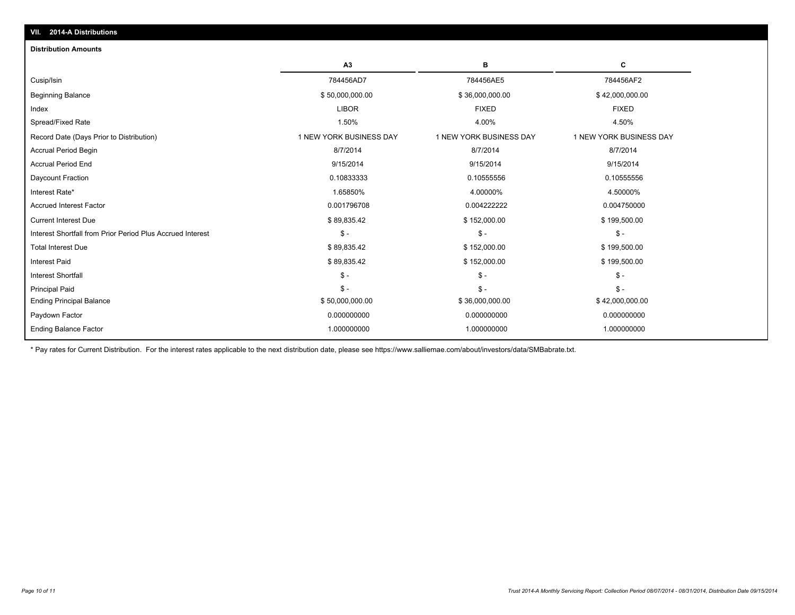| VII. 2014-A Distributions                                  |                         |                         |                         |  |  |
|------------------------------------------------------------|-------------------------|-------------------------|-------------------------|--|--|
| <b>Distribution Amounts</b>                                |                         |                         |                         |  |  |
|                                                            | A3                      | в                       | C                       |  |  |
| Cusip/Isin                                                 | 784456AD7               | 784456AE5               | 784456AF2               |  |  |
| <b>Beginning Balance</b>                                   | \$50,000,000.00         | \$36,000,000.00         | \$42,000,000.00         |  |  |
| Index                                                      | <b>LIBOR</b>            | <b>FIXED</b>            | <b>FIXED</b>            |  |  |
| Spread/Fixed Rate                                          | 1.50%                   | 4.00%                   | 4.50%                   |  |  |
| Record Date (Days Prior to Distribution)                   | 1 NEW YORK BUSINESS DAY | 1 NEW YORK BUSINESS DAY | 1 NEW YORK BUSINESS DAY |  |  |
| <b>Accrual Period Begin</b>                                | 8/7/2014                | 8/7/2014                | 8/7/2014                |  |  |
| <b>Accrual Period End</b>                                  | 9/15/2014               | 9/15/2014               | 9/15/2014               |  |  |
| Daycount Fraction                                          | 0.10833333              | 0.10555556              | 0.10555556              |  |  |
| Interest Rate*                                             | 1.65850%                | 4.00000%                | 4.50000%                |  |  |
| <b>Accrued Interest Factor</b>                             | 0.001796708             | 0.004222222             | 0.004750000             |  |  |
| <b>Current Interest Due</b>                                | \$89,835.42             | \$152,000.00            | \$199,500.00            |  |  |
| Interest Shortfall from Prior Period Plus Accrued Interest | $\mathsf{\$}$ -         | $\mathsf{\$}$ -         | $\mathsf{\$}$ -         |  |  |
| <b>Total Interest Due</b>                                  | \$89,835.42             | \$152,000.00            | \$199,500.00            |  |  |
| <b>Interest Paid</b>                                       | \$89,835.42             | \$152,000.00            | \$199,500.00            |  |  |
| <b>Interest Shortfall</b>                                  | $\mathsf{\$}$ -         | $\mathsf{\$}$ -         | $\mathsf{\$}$ -         |  |  |
| <b>Principal Paid</b>                                      | $S -$                   | $\mathsf{\$}$ -         | $\mathcal{S}$ -         |  |  |
| <b>Ending Principal Balance</b>                            | \$50,000,000.00         | \$36,000,000.00         | \$42,000,000.00         |  |  |
| Paydown Factor                                             | 0.000000000             | 0.000000000             | 0.000000000             |  |  |
| <b>Ending Balance Factor</b>                               | 1.000000000             | 1.000000000             | 1.000000000             |  |  |

\* Pay rates for Current Distribution. For the interest rates applicable to the next distribution date, please see https://www.salliemae.com/about/investors/data/SMBabrate.txt.